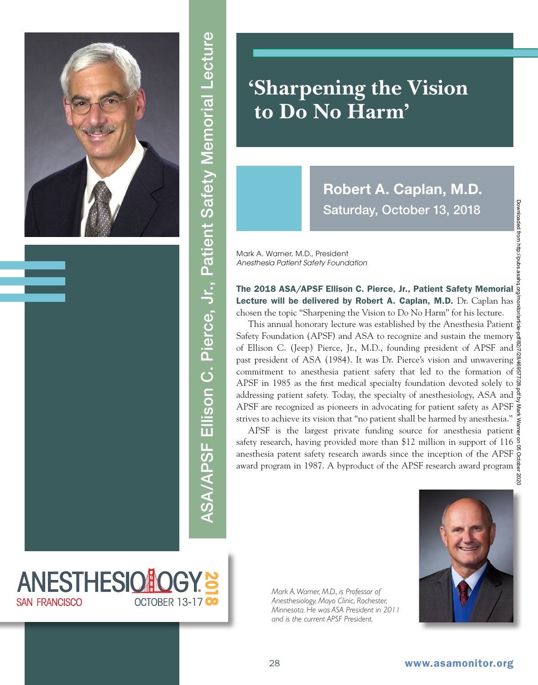

## ASA/APSF Ellison C. Pierce, Jr., Patient Safety Memorial Lecture ASA/APSF Ellison C. Pierce, Jr., Patient Safety Memorial Lecture

## **'Sharpening the Vision to Do No Harm'**

**Robert A. Caplan, M.D.** Saturday, October 13, 2018

Mark A. Warner, M.D., President *Anesthesia Patient Safety Foundation*

The 2018 ASA/APSF Ellison C. Pierce, Jr., Patient Safety Memorial Lecture will be delivered by Robert A. Caplan, M.D. Dr. Caplan has  $\frac{3}{2}$ chosen the topic "Sharpening the Vision to Do No Harm" for his lecture.

This annual honorary lecture was established by the Anesthesia Patient Safety Foundation (APSF) and ASA to recognize and sustain the memory of Ellison C. (Jeep) Pierce, Jr., M.D., founding president of APSF and past president of ASA (1984). It was Dr. Pierce's vision and unwavering commitment to anesthesia patient safety that led to the formation of  $\frac{3}{5}$ APSF in 1985 as the first medical specialty foundation devoted solely to  $\mathbb{R}$ addressing patient safety. Today, the specialty of anesthesiology, ASA and  $\frac{8}{5}$ APSF are recognized as pioneers in advocating for patient safety as APSF strives to achieve its vision that "no patient shall be harmed by anesthesia."

APSF is the largest private funding source for anesthesia patient  $\frac{3}{8}$ safety research, having provided more than \$12 million in support of 116  $\frac{9}{2}$ anesthesia patent safety research awards since the inception of the APSF award program in 1987. A byproduct of the APSF research award program



*Mark A. Warner, M.D., is Professor of Anesthesiology, Mayo Clinic, Rochester, Minnesota. He was ASA President in 2011 and is the current APSF President.*



**ANESTHESIONOG SAN FRANCISCO OCTOBER 13-17 O**